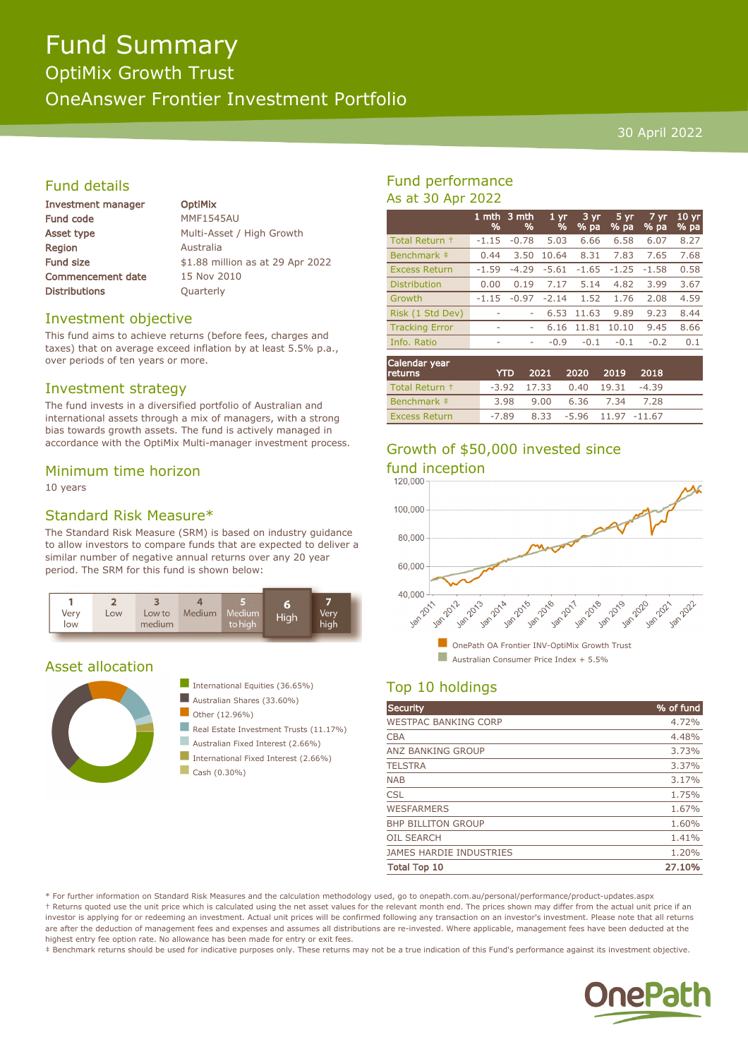# Fund Summary

OptiMix Growth Trust

OneAnswer Frontier Investment Portfolio

#### 30 April 2022

# Fund details

| Investment manager       | <b>OptiMix</b>                   |
|--------------------------|----------------------------------|
| <b>Fund code</b>         | <b>MMF1545AU</b>                 |
| Asset type               | Multi-Asset / High Growth        |
| <b>Region</b>            | Australia                        |
| <b>Fund size</b>         | \$1.88 million as at 29 Apr 2022 |
| <b>Commencement date</b> | 15 Nov 2010                      |
| <b>Distributions</b>     | Quarterly                        |
|                          |                                  |

## Investment objective

This fund aims to achieve returns (before fees, charges and taxes) that on average exceed inflation by at least 5.5% p.a., over periods of ten years or more.

## Investment strategy

The fund invests in a diversified portfolio of Australian and international assets through a mix of managers, with a strong bias towards growth assets. The fund is actively managed in accordance with the OptiMix Multi-manager investment process.

#### Minimum time horizon

10 years

# Standard Risk Measure\*

The Standard Risk Measure (SRM) is based on industry guidance to allow investors to compare funds that are expected to deliver a similar number of negative annual returns over any 20 year period. The SRM for this fund is shown below:



# Asset allocation





- Real Estate Investment Trusts (11.17%)
- Australian Fixed Interest (2.66%) International Fixed Interest (2.66%)
- $\Box$  Cash (0.30%)

# Fund performance As at 30 Apr 2022

|                       | 1 mth<br>% | 3 mth<br>% | 1 <sub>yr</sub><br>% | 3 yr<br>% pa | 5 yr<br>% pa | 7 yr<br>% pa | 10 <sub>yr</sub><br>% pa |
|-----------------------|------------|------------|----------------------|--------------|--------------|--------------|--------------------------|
| Total Return +        | $-1.15$    | $-0.78$    | 5.03                 | 6.66         | 6.58         | 6.07         | 8.27                     |
| Benchmark ‡           | 0.44       | 3.50       | 10.64                | 8.31         | 7.83         | 7.65         | 7.68                     |
| <b>Excess Return</b>  | $-1.59$    | $-4.29$    | $-5.61$              | $-1.65$      | $-1.25$      | $-1.58$      | 0.58                     |
| <b>Distribution</b>   | 0.00       | 0.19       | 7.17                 | 5.14         | 4.82         | 3.99         | 3.67                     |
| Growth                | $-1.15$    | $-0.97$    | $-2.14$              | 1.52         | 1.76         | 2.08         | 4.59                     |
| Risk (1 Std Dev)      | ٠          |            | 6.53                 | 11.63        | 9.89         | 9.23         | 8.44                     |
| <b>Tracking Error</b> | ۰          | ۰          | 6.16                 | 11.81        | 10.10        | 9.45         | 8.66                     |
| Info. Ratio           | ٠          | ۰          | $-0.9$               | $-0.1$       | $-0.1$       | $-0.2$       | 0.1                      |
|                       |            |            |                      |              |              |              |                          |

| Calendar year<br><b>returns</b> | <b>YTD</b> |                          | 2021 2020               | 2019      | 2018    |  |
|---------------------------------|------------|--------------------------|-------------------------|-----------|---------|--|
| Total Return +                  |            | $-3.92$ 17.33 0.40 19.31 |                         |           | $-4.39$ |  |
| Benchmark #                     | 3.98       | 9.00                     |                         | 6.36 7.34 | 7.28    |  |
| <b>Excess Return</b>            | -7.89      |                          | 8.33 -5.96 11.97 -11.67 |           |         |  |

# Growth of \$50,000 invested since



# Top 10 holdings

| <b>Security</b>                | % of fund |
|--------------------------------|-----------|
| <b>WESTPAC BANKING CORP</b>    | 4.72%     |
| <b>CBA</b>                     | 4.48%     |
| ANZ BANKING GROUP              | 3.73%     |
| <b>TELSTRA</b>                 | 3.37%     |
| <b>NAB</b>                     | 3.17%     |
| <b>CSL</b>                     | 1.75%     |
| <b>WESFARMERS</b>              | 1.67%     |
| <b>BHP BILLITON GROUP</b>      | 1.60%     |
| <b>OIL SEARCH</b>              | 1.41%     |
| <b>JAMES HARDIE INDUSTRIES</b> | 1.20%     |
| <b>Total Top 10</b>            | 27.10%    |

\* For further information on Standard Risk Measures and the calculation methodology used, go to onepath.com.au/personal/performance/product-updates.aspx † Returns quoted use the unit price which is calculated using the net asset values for the relevant month end. The prices shown may differ from the actual unit price if an investor is applying for or redeeming an investment. Actual unit prices will be confirmed following any transaction on an investor's investment. Please note that all returns are after the deduction of management fees and expenses and assumes all distributions are re-invested. Where applicable, management fees have been deducted at the highest entry fee option rate. No allowance has been made for entry or exit fees.

‡ Benchmark returns should be used for indicative purposes only. These returns may not be a true indication of this Fund's performance against its investment objective.